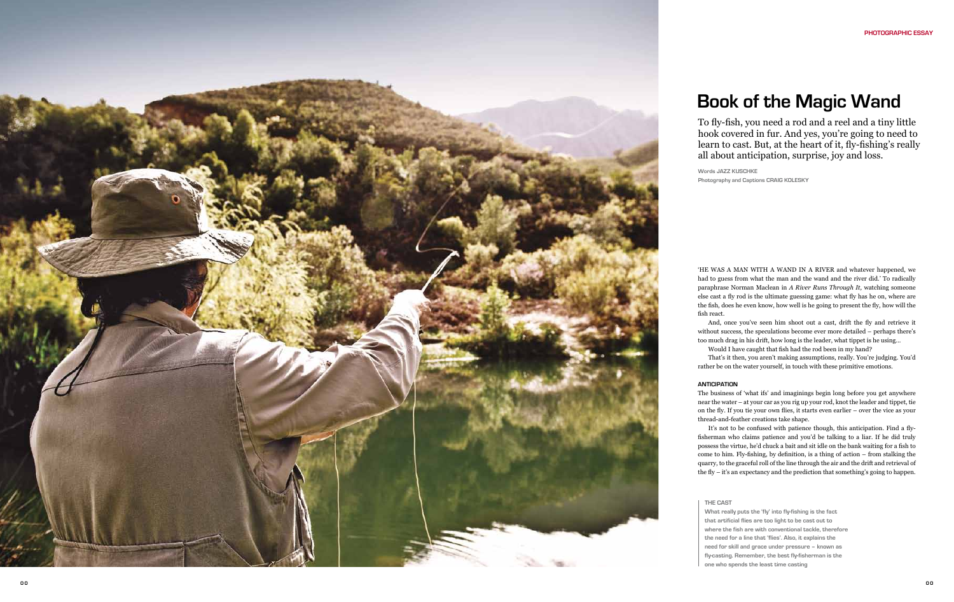# **Book of the Magic Wand**

HE WAS A MAN WITH A WAND IN A RIVER and whatever happened, we had to guess from what the man and the wand and the river did.' To radically paraphrase Norman Maclean in *A River Runs Through It,* watching someone else cast a fly rod is the ultimate guessing game: what fly has he on, where are the fish, does he even know, how well is he going to present the fly, how will the fish react.

And, once you've seen him shoot out a cast, drift the fly and retrieve it without success, the speculations become ever more detailed – perhaps there's too much drag in his drift, how long is the leader, what tippet is he using...

Would I have caught that fish had the rod been in my hand?

That's it then, you aren't making assumptions, really. You're judging. You'd rather be on the water yourself, in touch with these primitive emotions.

### **ANTICIPATION**

The business of 'what ifs' and imaginings begin long before you get anywhere near the water – at your car as you rig up your rod, knot the leader and tippet, tie on the fly. If you tie your own flies, it starts even earlier – over the vice as your thread-and-feather creations take shape.

It's not to be confused with patience though, this anticipation. Find a flyfisherman who claims patience and you'd be talking to a liar. If he did truly possess the virtue, he'd chuck a bait and sit idle on the bank waiting for a fish to come to him. Fly-fishing, by definition, is a thing of action – from stalking the quarry, to the graceful roll of the line through the air and the drift and retrieval of the fly – it's an expectancy and the prediction that something's going to happen.



hook covered in fur. And yes, you're going to need to learn to cast. But, at the heart of it, fly-fishing's really all about anticipation, surprise, joy and loss.

**Words j azz kus chke Photography and Captions c raig k olesky** 

#### **THE CA S T**

**What really puts the 'fly' into fly-fishing is the fact that artificial flies are too light to be cast out to where the fish are with conventional tackle, therefore the need for a line that 'flies'. Also, it explains the need for skill and grace under pressure – known as fly-casting. Remember, the best fly-fisherman is the one who spends the least time casting**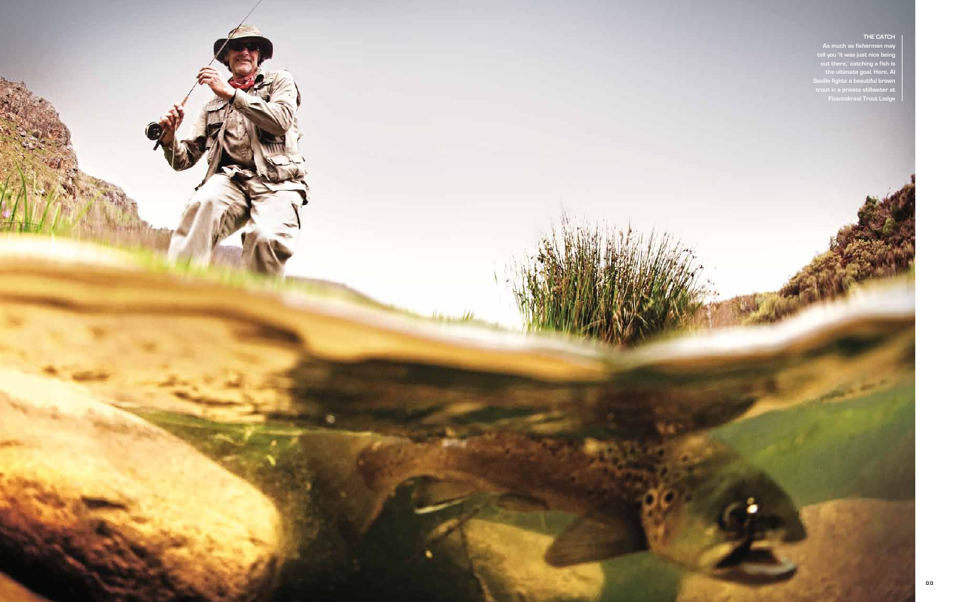

#### **THE CATCH**

**As much as fishermen may tell you 'it was just nice being out there,' catching a fish is the ultimate goal. Here, Al Saville fights a beautiful brown trout in a private stillwater at Fizantakraal Trout Lodge**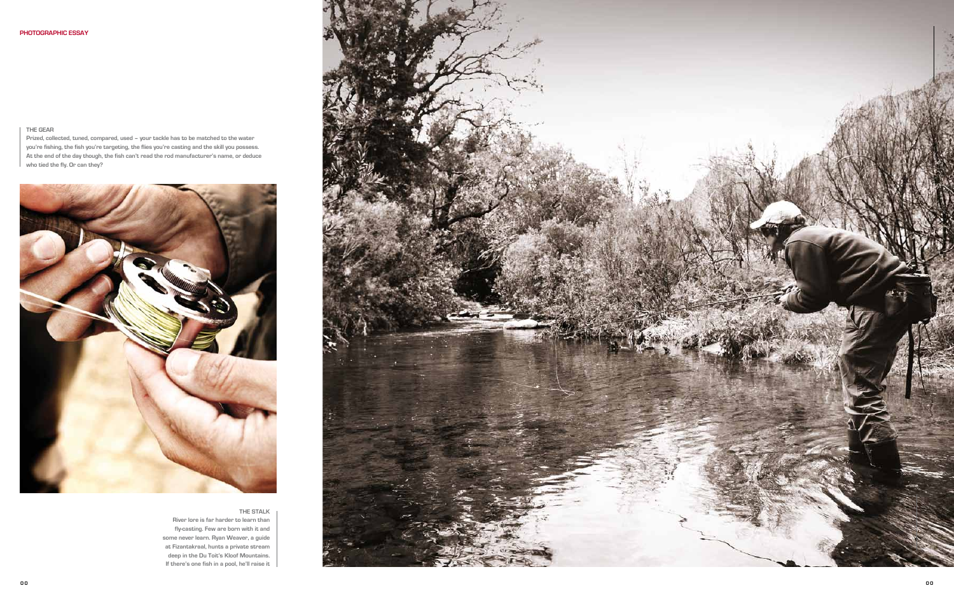

### **THE STALK**

**River lore is far harder to learn than fly-casting. Few are born with it and some never learn. Ryan Weaver, a guide at Fizantakraal, hunts a private stream deep in the Du Toit's Kloof Mountains. If there's one fish in a pool, he'll raise it**

# **THE GEAR**

**Prized, collected, tuned, compared, used – your tackle has to be matched to the water you're fishing, the fish you're targeting, the flies you're casting and the skill you possess. At the end of the day though, the fish can't read the rod manufacturer's name, or deduce who tied the fly. Or can they?**

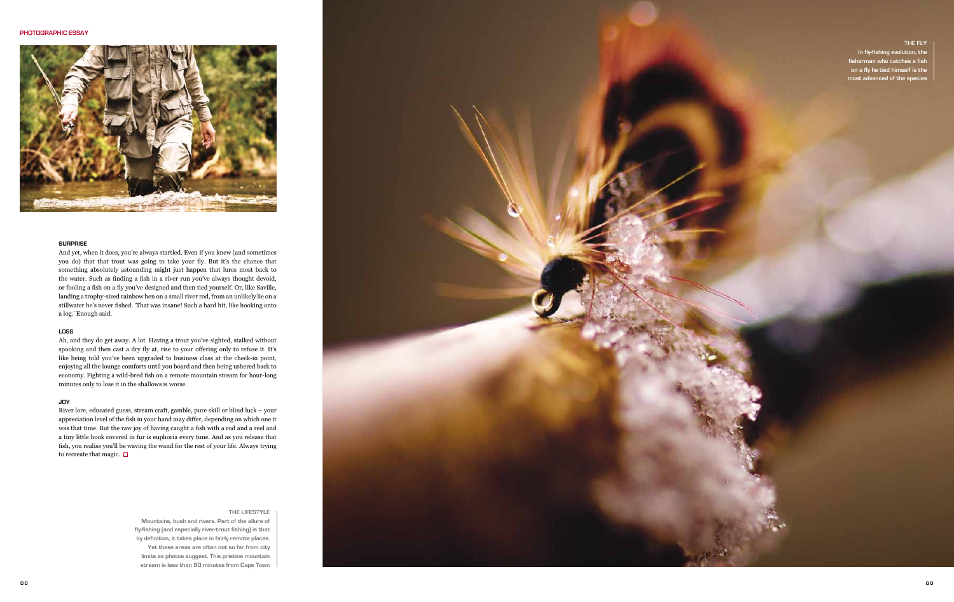

# **SURPRISE**

And yet, when it does, you're always startled. Even if you knew (and sometimes you do) that that trout was going to take your fly. But it's the chance that something absolutely astounding might just happen that lures most back to the water. Such as finding a fish in a river run you've always thought devoid, or fooling a fish on a fly you've designed and then tied yourself. Or, like Saville, landing a trophy-sized rainbow hen on a small river rod, from an unlikely lie on a stillwater he's never fished. 'That was insane! Such a hard hit, like hooking onto a log.' Enough said.

River lore, educated guess, stream craft, gamble, pure skill or blind luck – your appreciation level of the fish in your hand may differ, depending on which one it was that time. But the raw joy of having caught a fish with a rod and a reel and a tiny little hook covered in fur is euphoria every time. And as you release that fish, you realise you'll be waving the wand for the rest of your life. Always trying to recreate that magic.  $\square$ 

### **LOSS**

Ah, and they do get away. A lot. Having a trout you've sighted, stalked without spooking and then cast a dry fly at, rise to your offering only to refuse it. It's like being told you've been upgraded to business class at the check-in point, enjoying all the lounge comforts until you board and then being ushered back to economy. Fighting a wild-bred fish on a remote mountain stream for hour-long minutes only to lose it in the shallows is worse.

# **JOY**



## **THE LIFESTYLE**

**Mountains, bush and rivers. Part of the allure of fly-fishing (and especially river-trout fishing) is that by definition, it takes place in fairly remote places. Yet these areas are often not so far from city limits as photos suggest. This pristine mountain stream is less than 90 minutes from Cape Town** 

# **THE FLY**

**In fly-fishing evolution, the fisherman who catches a fish on a fly he tied himself is the most advanced of the species**